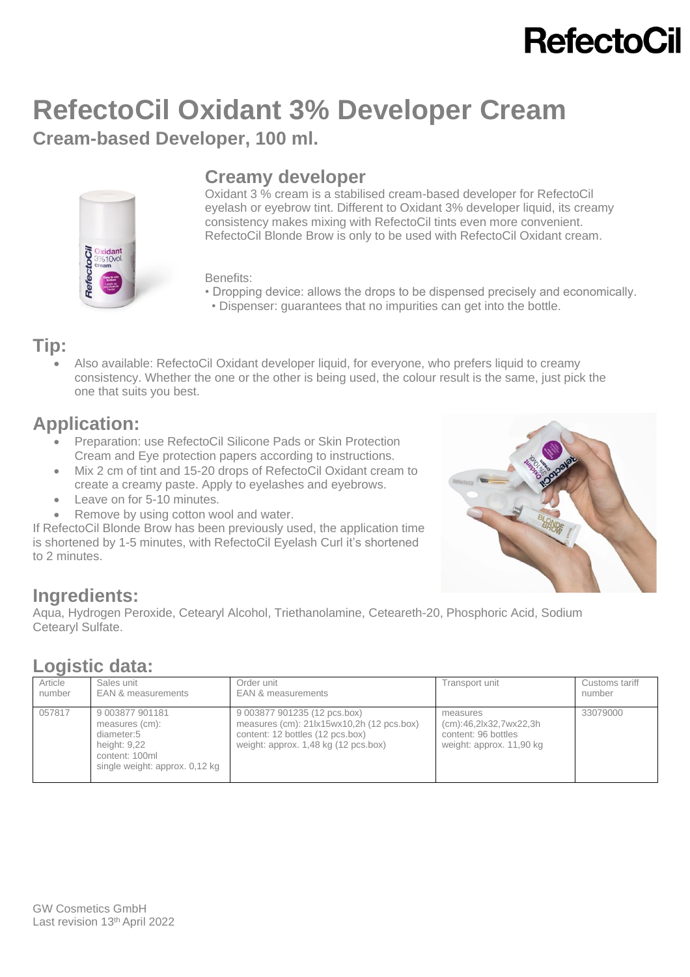# **RefectoCil**

## **RefectoCil Oxidant 3% Developer Cream Cream-based Developer, 100 ml.**



### **Creamy developer**

Oxidant 3 % cream is a stabilised cream-based developer for RefectoCil eyelash or eyebrow tint. Different to Oxidant 3% developer liquid, its creamy consistency makes mixing with RefectoCil tints even more convenient. RefectoCil Blonde Brow is only to be used with RefectoCil Oxidant cream.

### Benefits:

- Dropping device: allows the drops to be dispensed precisely and economically.
- Dispenser: guarantees that no impurities can get into the bottle.

### **Tip:**

• Also available: RefectoCil Oxidant developer liquid, for everyone, who prefers liquid to creamy consistency. Whether the one or the other is being used, the colour result is the same, just pick the one that suits you best.

## **Application:**

- Preparation: use RefectoCil Silicone Pads or Skin Protection Cream and Eye protection papers according to instructions.
- Mix 2 cm of tint and 15-20 drops of RefectoCil Oxidant cream to create a creamy paste. Apply to eyelashes and eyebrows.
- Leave on for 5-10 minutes.
- Remove by using cotton wool and water.

If RefectoCil Blonde Brow has been previously used, the application time is shortened by 1-5 minutes, with RefectoCil Eyelash Curl it's shortened to 2 minutes.



## **Ingredients:**

Aqua, Hydrogen Peroxide, Cetearyl Alcohol, Triethanolamine, Ceteareth-20, Phosphoric Acid, Sodium Cetearyl Sulfate.

## **Logistic data:**

| Article<br>number | Sales unit<br>EAN & measurements                                                                                    | Order unit<br>EAN & measurements                                                                                                                      | Transport unit                                                                        | Customs tariff<br>number |  |
|-------------------|---------------------------------------------------------------------------------------------------------------------|-------------------------------------------------------------------------------------------------------------------------------------------------------|---------------------------------------------------------------------------------------|--------------------------|--|
| 057817            | 9 003877 901181<br>measures (cm):<br>diameter:5<br>height: 9,22<br>content: 100ml<br>single weight: approx. 0.12 kg | 9 003877 901235 (12 pcs.box)<br>measures (cm): 21lx15wx10,2h (12 pcs.box)<br>content: 12 bottles (12 pcs.box)<br>weight: approx. 1,48 kg (12 pcs.box) | measures<br>(cm):46,2lx32,7wx22,3h<br>content: 96 bottles<br>weight: approx. 11,90 kg | 33079000                 |  |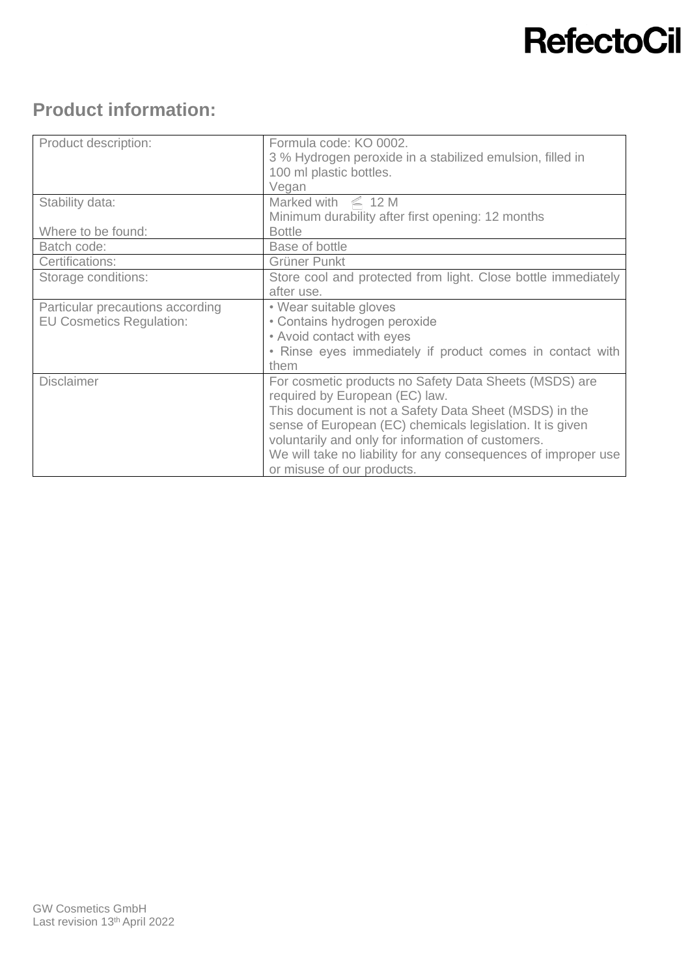# **RefectoCil**

## **Product information:**

| Product description:             | Formula code: KO 0002.<br>3 % Hydrogen peroxide in a stabilized emulsion, filled in<br>100 ml plastic bottles. |
|----------------------------------|----------------------------------------------------------------------------------------------------------------|
|                                  | Vegan                                                                                                          |
| Stability data:                  | Marked with $\leq 12$ M                                                                                        |
|                                  | Minimum durability after first opening: 12 months                                                              |
| Where to be found:               | <b>Bottle</b>                                                                                                  |
| Batch code:                      | Base of bottle                                                                                                 |
| Certifications:                  | Grüner Punkt                                                                                                   |
| Storage conditions:              | Store cool and protected from light. Close bottle immediately                                                  |
|                                  | after use.                                                                                                     |
| Particular precautions according | • Wear suitable gloves                                                                                         |
| <b>EU Cosmetics Regulation:</b>  | • Contains hydrogen peroxide                                                                                   |
|                                  | • Avoid contact with eyes                                                                                      |
|                                  | • Rinse eyes immediately if product comes in contact with                                                      |
|                                  | them                                                                                                           |
| <b>Disclaimer</b>                | For cosmetic products no Safety Data Sheets (MSDS) are                                                         |
|                                  | required by European (EC) law.                                                                                 |
|                                  | This document is not a Safety Data Sheet (MSDS) in the                                                         |
|                                  | sense of European (EC) chemicals legislation. It is given                                                      |
|                                  | voluntarily and only for information of customers.                                                             |
|                                  | We will take no liability for any consequences of improper use                                                 |
|                                  | or misuse of our products.                                                                                     |